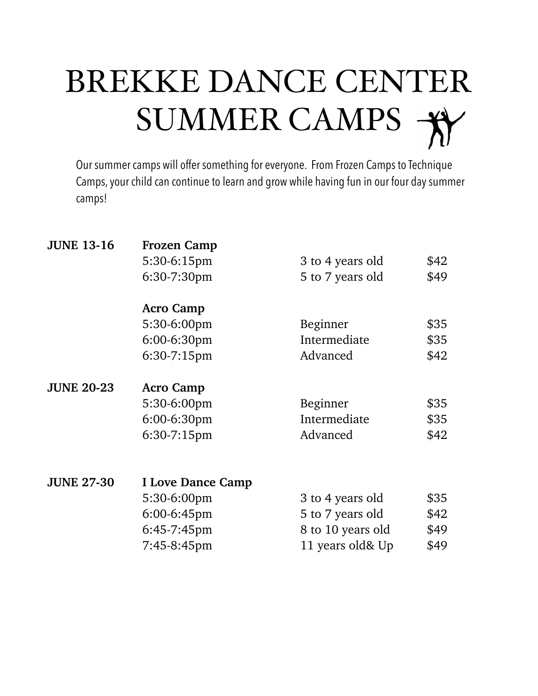# BREKKE DANCE CENTER SUMMER CAMPS  $\overrightarrow{A}$

Our summer camps will offer something for everyone. From Frozen Camps to Technique Camps, your child can continue to learn and grow while having fun in our four day summer camps!

| <b>JUNE 13-16</b> | <b>Frozen Camp</b>       |                   |      |  |
|-------------------|--------------------------|-------------------|------|--|
|                   | 5:30-6:15pm              | 3 to 4 years old  | \$42 |  |
|                   | $6:30-7:30$ pm           | 5 to 7 years old  | \$49 |  |
|                   | <b>Acro Camp</b>         |                   |      |  |
|                   | 5:30-6:00pm              | Beginner          | \$35 |  |
|                   | 6:00-6:30pm              | Intermediate      | \$35 |  |
|                   | $6:30-7:15$ pm           | Advanced          | \$42 |  |
| <b>JUNE 20-23</b> | <b>Acro Camp</b>         |                   |      |  |
|                   | 5:30-6:00pm              | Beginner          | \$35 |  |
|                   | 6:00-6:30pm              | Intermediate      | \$35 |  |
|                   | 6:30-7:15pm              | Advanced          | \$42 |  |
|                   |                          |                   |      |  |
| <b>JUNE 27-30</b> | <b>I Love Dance Camp</b> |                   |      |  |
|                   | 5:30-6:00pm              | 3 to 4 years old  | \$35 |  |
|                   | 6:00-6:45pm              | 5 to 7 years old  | \$42 |  |
|                   | 6:45-7:45pm              | 8 to 10 years old | \$49 |  |
|                   | 7:45-8:45pm              | 11 years old& Up  | \$49 |  |
|                   |                          |                   |      |  |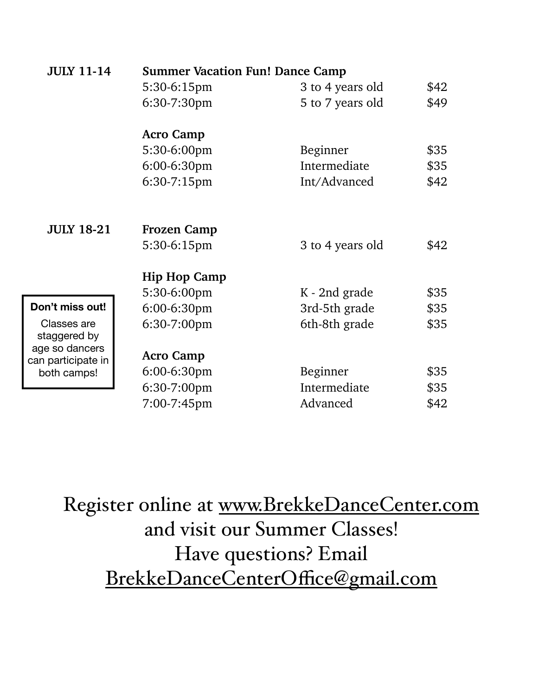| <b>JULY 11-14</b>                    | <b>Summer Vacation Fun! Dance Camp</b> |                  |      |  |
|--------------------------------------|----------------------------------------|------------------|------|--|
|                                      | 5:30-6:15pm                            | 3 to 4 years old | \$42 |  |
|                                      | 6:30-7:30pm                            | 5 to 7 years old | \$49 |  |
|                                      | <b>Acro Camp</b>                       |                  |      |  |
|                                      | 5:30-6:00pm                            | Beginner         | \$35 |  |
|                                      | 6:00-6:30pm                            | Intermediate     | \$35 |  |
|                                      | 6:30-7:15pm                            | Int/Advanced     | \$42 |  |
|                                      |                                        |                  |      |  |
| <b>JULY 18-21</b>                    | <b>Frozen Camp</b>                     |                  |      |  |
|                                      | 5:30-6:15pm                            | 3 to 4 years old | \$42 |  |
|                                      | <b>Hip Hop Camp</b>                    |                  |      |  |
|                                      | 5:30-6:00pm                            | K - 2nd grade    | \$35 |  |
| Don't miss out!                      | 6:00-6:30pm                            | 3rd-5th grade    | \$35 |  |
| Classes are<br>staggered by          | 6:30-7:00pm                            | 6th-8th grade    | \$35 |  |
| age so dancers<br>can participate in | <b>Acro Camp</b>                       |                  |      |  |
| both camps!                          | 6:00-6:30pm                            | Beginner         | \$35 |  |
|                                      | 6:30-7:00pm                            | Intermediate     | \$35 |  |
|                                      | 7:00-7:45pm                            | Advanced         | \$42 |  |

Register online at [www.BrekkeDanceCenter.com](http://www.BrekkeDanceCenter.com) and visit our Summer Classes! Have questions? Email [BrekkeDanceCenterO](mailto:BrekkeDanceCenterOffice@gmail.com)ffice@gmail.com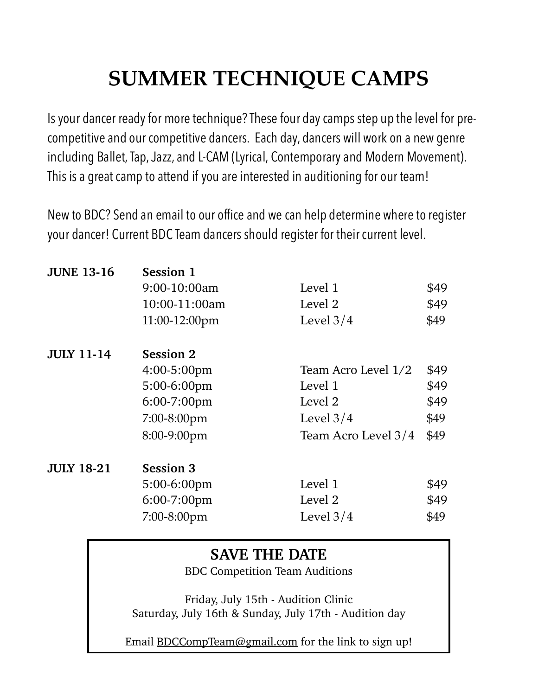## **SUMMER TECHNIQUE CAMPS**

Is your dancer ready for more technique? These four day camps step up the level for precompetitive and our competitive dancers. Each day, dancers will work on a new genre including Ballet, Tap, Jazz, and L-CAM (Lyrical, Contemporary and Modern Movement). This is a great camp to attend if you are interested in auditioning for our team!

New to BDC? Send an email to our office and we can help determine where to register your dancer! Current BDC Team dancers should register for their current level.

| <b>Session 1</b> |                     |      |  |  |
|------------------|---------------------|------|--|--|
| 9:00-10:00am     | Level 1             | \$49 |  |  |
| 10:00-11:00am    | Level 2             | \$49 |  |  |
| 11:00-12:00pm    | Level $3/4$         | \$49 |  |  |
| <b>Session 2</b> |                     |      |  |  |
| 4:00-5:00pm      | Team Acro Level 1/2 | \$49 |  |  |
| 5:00-6:00pm      | Level 1             | \$49 |  |  |
| 6:00-7:00pm      | Level 2             | \$49 |  |  |
| $7:00-8:00$ pm   | Level $3/4$         | \$49 |  |  |
| 8:00-9:00pm      | Team Acro Level 3/4 | \$49 |  |  |
| <b>Session 3</b> |                     |      |  |  |
| 5:00-6:00pm      | Level 1             | \$49 |  |  |
| $6:00-7:00$ pm   | Level 2             | \$49 |  |  |
| 7:00-8:00pm      | Level $3/4$         | \$49 |  |  |
|                  |                     |      |  |  |

### **SAVE THE DATE**

BDC Competition Team Auditions

Friday, July 15th - Audition Clinic Saturday, July 16th & Sunday, July 17th - Audition day

Email [BDCCompTeam@gmail.com](mailto:BDCCompTeam@gmail.com) for the link to sign up!